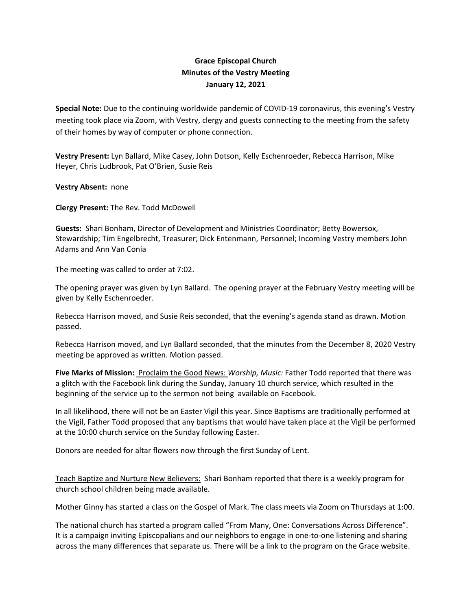## **Grace Episcopal Church Minutes of the Vestry Meeting January 12, 2021**

**Special Note:** Due to the continuing worldwide pandemic of COVID‐19 coronavirus, this evening's Vestry meeting took place via Zoom, with Vestry, clergy and guests connecting to the meeting from the safety of their homes by way of computer or phone connection.

**Vestry Present:** Lyn Ballard, Mike Casey, John Dotson, Kelly Eschenroeder, Rebecca Harrison, Mike Heyer, Chris Ludbrook, Pat O'Brien, Susie Reis

**Vestry Absent:** none

**Clergy Present:** The Rev. Todd McDowell

**Guests:** Shari Bonham, Director of Development and Ministries Coordinator; Betty Bowersox, Stewardship; Tim Engelbrecht, Treasurer; Dick Entenmann, Personnel; Incoming Vestry members John Adams and Ann Van Conia

The meeting was called to order at 7:02.

The opening prayer was given by Lyn Ballard. The opening prayer at the February Vestry meeting will be given by Kelly Eschenroeder.

Rebecca Harrison moved, and Susie Reis seconded, that the evening's agenda stand as drawn. Motion passed.

Rebecca Harrison moved, and Lyn Ballard seconded, that the minutes from the December 8, 2020 Vestry meeting be approved as written. Motion passed.

**Five Marks of Mission:** Proclaim the Good News: *Worship, Music:* Father Todd reported that there was a glitch with the Facebook link during the Sunday, January 10 church service, which resulted in the beginning of the service up to the sermon not being available on Facebook.

In all likelihood, there will not be an Easter Vigil this year. Since Baptisms are traditionally performed at the Vigil, Father Todd proposed that any baptisms that would have taken place at the Vigil be performed at the 10:00 church service on the Sunday following Easter.

Donors are needed for altar flowers now through the first Sunday of Lent.

Teach Baptize and Nurture New Believers:Shari Bonham reported that there is a weekly program for church school children being made available.

Mother Ginny has started a class on the Gospel of Mark. The class meets via Zoom on Thursdays at 1:00.

The national church has started a program called "From Many, One: Conversations Across Difference". It is a campaign inviting Episcopalians and our neighbors to engage in one-to-one listening and sharing across the many differences that separate us. There will be a link to the program on the Grace website.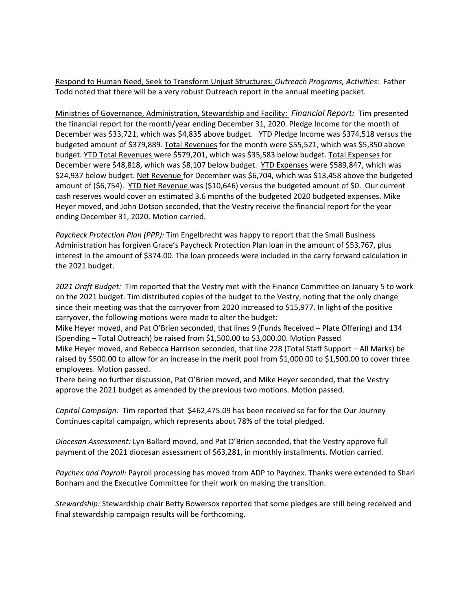Respond to Human Need, Seek to Transform Unjust Structures: *Outreach Programs, Activities:* Father Todd noted that there will be a very robust Outreach report in the annual meeting packet.

Ministries of Governance, Administration, Stewardship and Facility: *Financial Report:* Tim presented the financial report for the month/year ending December 31, 2020. Pledge Income for the month of December was \$33,721, which was \$4,835 above budget. YTD Pledge Income was \$374,518 versus the budgeted amount of \$379,889. Total Revenues for the month were \$55,521, which was \$5,350 above budget. YTD Total Revenues were \$579,201, which was \$35,583 below budget. Total Expenses for December were \$48,818, which was \$8,107 below budget. YTD Expenses were \$589,847, which was \$24,937 below budget. Net Revenue for December was \$6,704, which was \$13,458 above the budgeted amount of (\$6,754). YTD Net Revenue was (\$10,646) versus the budgeted amount of \$0. Our current cash reserves would cover an estimated 3.6 months of the budgeted 2020 budgeted expenses. Mike Heyer moved, and John Dotson seconded, that the Vestry receive the financial report for the year ending December 31, 2020. Motion carried.

*Paycheck Protection Plan (PPP):* Tim Engelbrecht was happy to report that the Small Business Administration has forgiven Grace's Paycheck Protection Plan loan in the amount of \$53,767, plus interest in the amount of \$374.00. The loan proceeds were included in the carry forward calculation in the 2021 budget.

*2021 Draft Budget:* Tim reported that the Vestry met with the Finance Committee on January 5 to work on the 2021 budget. Tim distributed copies of the budget to the Vestry, noting that the only change since their meeting was that the carryover from 2020 increased to \$15,977. In light of the positive carryover, the following motions were made to alter the budget:

Mike Heyer moved, and Pat O'Brien seconded, that lines 9 (Funds Received – Plate Offering) and 134 (Spending – Total Outreach) be raised from \$1,500.00 to \$3,000.00. Motion Passed

Mike Heyer moved, and Rebecca Harrison seconded, that line 228 (Total Staff Support – All Marks) be raised by \$500.00 to allow for an increase in the merit pool from \$1,000.00 to \$1,500.00 to cover three employees. Motion passed.

There being no further discussion, Pat O'Brien moved, and Mike Heyer seconded, that the Vestry approve the 2021 budget as amended by the previous two motions. Motion passed.

*Capital Campaign:* Tim reported that \$462,475.09 has been received so far for the Our Journey Continues capital campaign, which represents about 78% of the total pledged.

*Diocesan Assessment:* Lyn Ballard moved, and Pat O'Brien seconded, that the Vestry approve full payment of the 2021 diocesan assessment of \$63,281, in monthly installments. Motion carried.

*Paychex and Payroll:* Payroll processing has moved from ADP to Paychex. Thanks were extended to Shari Bonham and the Executive Committee for their work on making the transition.

*Stewardship:* Stewardship chair Betty Bowersox reported that some pledges are still being received and final stewardship campaign results will be forthcoming.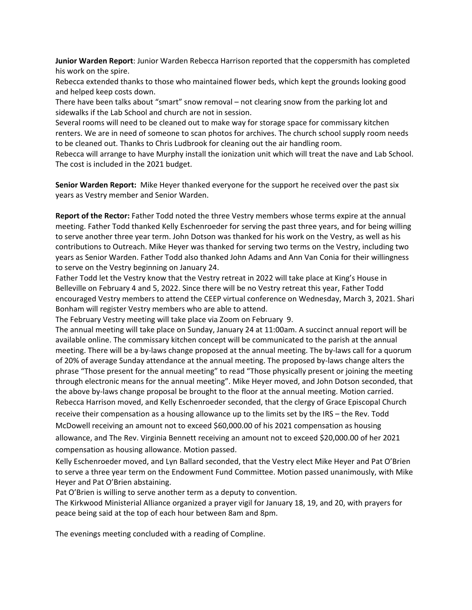**Junior Warden Report**: Junior Warden Rebecca Harrison reported that the coppersmith has completed his work on the spire.

Rebecca extended thanks to those who maintained flower beds, which kept the grounds looking good and helped keep costs down.

There have been talks about "smart" snow removal – not clearing snow from the parking lot and sidewalks if the Lab School and church are not in session.

Several rooms will need to be cleaned out to make way for storage space for commissary kitchen renters. We are in need of someone to scan photos for archives. The church school supply room needs to be cleaned out. Thanks to Chris Ludbrook for cleaning out the air handling room.

Rebecca will arrange to have Murphy install the ionization unit which will treat the nave and Lab School. The cost is included in the 2021 budget.

**Senior Warden Report:** Mike Heyer thanked everyone for the support he received over the past six years as Vestry member and Senior Warden.

**Report of the Rector:** Father Todd noted the three Vestry members whose terms expire at the annual meeting. Father Todd thanked Kelly Eschenroeder for serving the past three years, and for being willing to serve another three year term. John Dotson was thanked for his work on the Vestry, as well as his contributions to Outreach. Mike Heyer was thanked for serving two terms on the Vestry, including two years as Senior Warden. Father Todd also thanked John Adams and Ann Van Conia for their willingness to serve on the Vestry beginning on January 24.

Father Todd let the Vestry know that the Vestry retreat in 2022 will take place at King's House in Belleville on February 4 and 5, 2022. Since there will be no Vestry retreat this year, Father Todd encouraged Vestry members to attend the CEEP virtual conference on Wednesday, March 3, 2021. Shari Bonham will register Vestry members who are able to attend.

The February Vestry meeting will take place via Zoom on February 9.

The annual meeting will take place on Sunday, January 24 at 11:00am. A succinct annual report will be available online. The commissary kitchen concept will be communicated to the parish at the annual meeting. There will be a by‐laws change proposed at the annual meeting. The by‐laws call for a quorum of 20% of average Sunday attendance at the annual meeting. The proposed by‐laws change alters the phrase "Those present for the annual meeting" to read "Those physically present or joining the meeting through electronic means for the annual meeting". Mike Heyer moved, and John Dotson seconded, that the above by‐laws change proposal be brought to the floor at the annual meeting. Motion carried. Rebecca Harrison moved, and Kelly Eschenroeder seconded, that the clergy of Grace Episcopal Church receive their compensation as a housing allowance up to the limits set by the IRS – the Rev. Todd McDowell receiving an amount not to exceed \$60,000.00 of his 2021 compensation as housing allowance, and The Rev. Virginia Bennett receiving an amount not to exceed \$20,000.00 of her 2021 compensation as housing allowance. Motion passed.

Kelly Eschenroeder moved, and Lyn Ballard seconded, that the Vestry elect Mike Heyer and Pat O'Brien to serve a three year term on the Endowment Fund Committee. Motion passed unanimously, with Mike Heyer and Pat O'Brien abstaining.

Pat O'Brien is willing to serve another term as a deputy to convention.

The Kirkwood Ministerial Alliance organized a prayer vigil for January 18, 19, and 20, with prayers for peace being said at the top of each hour between 8am and 8pm.

The evenings meeting concluded with a reading of Compline.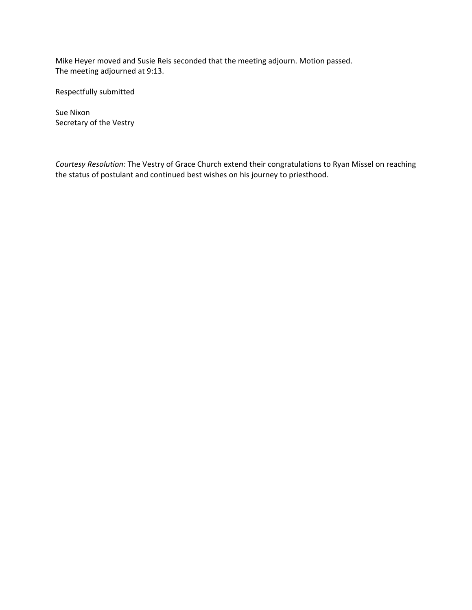Mike Heyer moved and Susie Reis seconded that the meeting adjourn. Motion passed. The meeting adjourned at 9:13.

Respectfully submitted

Sue Nixon Secretary of the Vestry

*Courtesy Resolution:* The Vestry of Grace Church extend their congratulations to Ryan Missel on reaching the status of postulant and continued best wishes on his journey to priesthood.